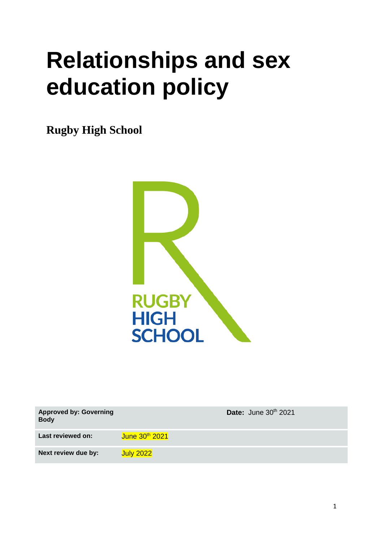# **Relationships and sex education policy**

**Rugby High School**



| <b>Approved by: Governing</b><br><b>Body</b> | Date: June 30th 2021       |
|----------------------------------------------|----------------------------|
| Last reviewed on:                            | June 30 <sup>th</sup> 2021 |
| Next review due by:                          | <b>July 2022</b>           |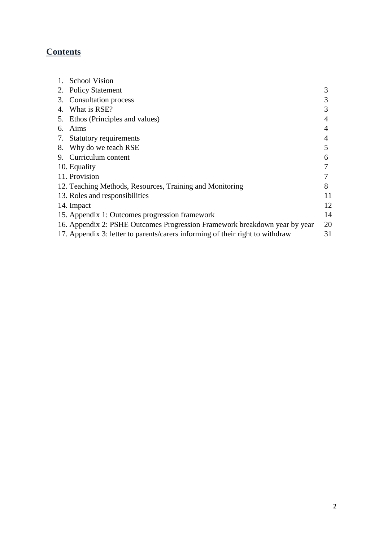# **Contents**

|    | 1. School Vision                                                              |    |
|----|-------------------------------------------------------------------------------|----|
| 2. | <b>Policy Statement</b>                                                       | 3  |
|    | 3. Consultation process                                                       | 3  |
|    | 4. What is RSE?                                                               | 3  |
|    | 5. Ethos (Principles and values)                                              |    |
| 6. | Aims                                                                          |    |
|    | 7. Statutory requirements                                                     |    |
|    | 8. Why do we teach RSE                                                        | 5  |
|    | 9. Curriculum content                                                         | 6  |
|    | 10. Equality                                                                  |    |
|    | 11. Provision                                                                 |    |
|    | 12. Teaching Methods, Resources, Training and Monitoring                      | 8  |
|    | 13. Roles and responsibilities                                                | 11 |
|    | 14. Impact                                                                    | 12 |
|    | 15. Appendix 1: Outcomes progression framework                                | 14 |
|    | 16. Appendix 2: PSHE Outcomes Progression Framework breakdown year by year    | 20 |
|    | 17. Appendix 3: letter to parents/carers informing of their right to withdraw | 31 |
|    |                                                                               |    |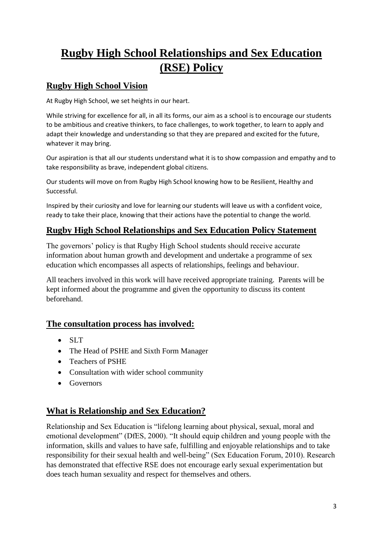# **Rugby High School Relationships and Sex Education (RSE) Policy**

## **Rugby High School Vision**

At Rugby High School, we set heights in our heart.

While striving for excellence for all, in all its forms, our aim as a school is to encourage our students to be ambitious and creative thinkers, to face challenges, to work together, to learn to apply and adapt their knowledge and understanding so that they are prepared and excited for the future, whatever it may bring.

Our aspiration is that all our students understand what it is to show compassion and empathy and to take responsibility as brave, independent global citizens.

Our students will move on from Rugby High School knowing how to be Resilient, Healthy and Successful.

Inspired by their curiosity and love for learning our students will leave us with a confident voice, ready to take their place, knowing that their actions have the potential to change the world.

## **Rugby High School Relationships and Sex Education Policy Statement**

The governors' policy is that Rugby High School students should receive accurate information about human growth and development and undertake a programme of sex education which encompasses all aspects of relationships, feelings and behaviour.

All teachers involved in this work will have received appropriate training. Parents will be kept informed about the programme and given the opportunity to discuss its content beforehand.

#### **The consultation process has involved:**

- SLT
- The Head of PSHE and Sixth Form Manager
- Teachers of PSHE
- Consultation with wider school community
- Governors

#### **What is Relationship and Sex Education?**

Relationship and Sex Education is "lifelong learning about physical, sexual, moral and emotional development" (DfES, 2000). "It should equip children and young people with the information, skills and values to have safe, fulfilling and enjoyable relationships and to take responsibility for their sexual health and well-being" (Sex Education Forum, 2010). Research has demonstrated that effective RSE does not encourage early sexual experimentation but does teach human sexuality and respect for themselves and others.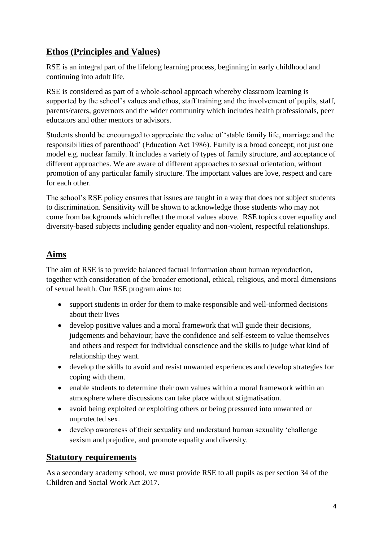## **Ethos (Principles and Values)**

RSE is an integral part of the lifelong learning process, beginning in early childhood and continuing into adult life.

RSE is considered as part of a whole-school approach whereby classroom learning is supported by the school's values and ethos, staff training and the involvement of pupils, staff, parents/carers, governors and the wider community which includes health professionals, peer educators and other mentors or advisors.

Students should be encouraged to appreciate the value of 'stable family life, marriage and the responsibilities of parenthood' (Education Act 1986). Family is a broad concept; not just one model e.g. nuclear family. It includes a variety of types of family structure, and acceptance of different approaches. We are aware of different approaches to sexual orientation, without promotion of any particular family structure. The important values are love, respect and care for each other.

The school's RSE policy ensures that issues are taught in a way that does not subject students to discrimination. Sensitivity will be shown to acknowledge those students who may not come from backgrounds which reflect the moral values above. RSE topics cover equality and diversity-based subjects including gender equality and non-violent, respectful relationships.

## **Aims**

The aim of RSE is to provide balanced factual information about human reproduction, together with consideration of the broader emotional, ethical, religious, and moral dimensions of sexual health. Our RSE program aims to:

- support students in order for them to make responsible and well-informed decisions about their lives
- develop positive values and a moral framework that will guide their decisions, judgements and behaviour; have the confidence and self-esteem to value themselves and others and respect for individual conscience and the skills to judge what kind of relationship they want.
- develop the skills to avoid and resist unwanted experiences and develop strategies for coping with them.
- enable students to determine their own values within a moral framework within an atmosphere where discussions can take place without stigmatisation.
- avoid being exploited or exploiting others or being pressured into unwanted or unprotected sex.
- develop awareness of their sexuality and understand human sexuality 'challenge sexism and prejudice, and promote equality and diversity.

#### **Statutory requirements**

As a secondary academy school, we must provide RSE to all pupils as per section 34 of the Children and Social Work Act 2017.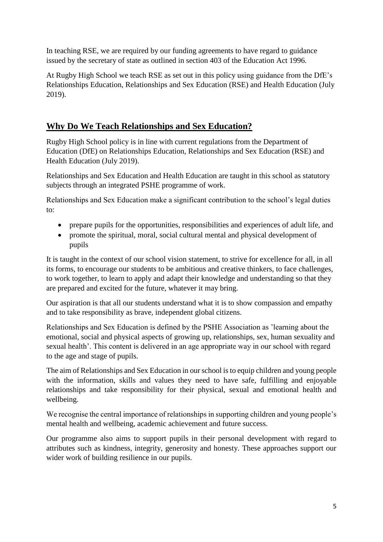In teaching RSE, we are required by our funding agreements to have regard to guidance issued by the secretary of state as outlined in section 403 of the Education Act 1996.

At Rugby High School we teach RSE as set out in this policy using guidance from the DfE's Relationships Education, Relationships and Sex Education (RSE) and Health Education (July 2019).

## **Why Do We Teach Relationships and Sex Education?**

Rugby High School policy is in line with current regulations from the Department of Education (DfE) on Relationships Education, Relationships and Sex Education (RSE) and Health Education (July 2019).

Relationships and Sex Education and Health Education are taught in this school as statutory subjects through an integrated PSHE programme of work.

Relationships and Sex Education make a significant contribution to the school's legal duties to:

- prepare pupils for the opportunities, responsibilities and experiences of adult life, and
- promote the spiritual, moral, social cultural mental and physical development of pupils

It is taught in the context of our school vision statement, to strive for excellence for all, in all its forms, to encourage our students to be ambitious and creative thinkers, to face challenges, to work together, to learn to apply and adapt their knowledge and understanding so that they are prepared and excited for the future, whatever it may bring.

Our aspiration is that all our students understand what it is to show compassion and empathy and to take responsibility as brave, independent global citizens.

Relationships and Sex Education is defined by the PSHE Association as 'learning about the emotional, social and physical aspects of growing up, relationships, sex, human sexuality and sexual health'. This content is delivered in an age appropriate way in our school with regard to the age and stage of pupils.

The aim of Relationships and Sex Education in our school is to equip children and young people with the information, skills and values they need to have safe, fulfilling and enjoyable relationships and take responsibility for their physical, sexual and emotional health and wellbeing.

We recognise the central importance of relationships in supporting children and young people's mental health and wellbeing, academic achievement and future success.

Our programme also aims to support pupils in their personal development with regard to attributes such as kindness, integrity, generosity and honesty. These approaches support our wider work of building resilience in our pupils.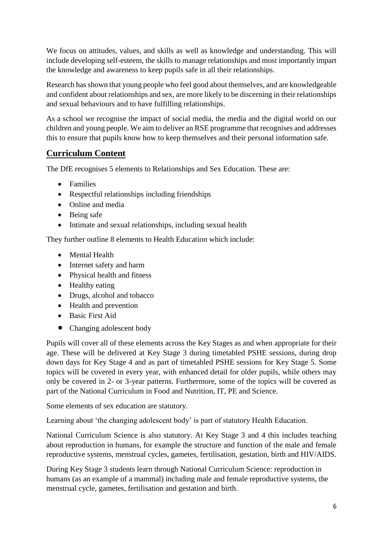We focus on attitudes, values, and skills as well as knowledge and understanding. This will include developing self-esteem, the skills to manage relationships and most importantly impart the knowledge and awareness to keep pupils safe in all their relationships.

Research has shown that young people who feel good about themselves, and are knowledgeable and confident about relationships and sex, are more likely to be discerning in their relationships and sexual behaviours and to have fulfilling relationships.

As a school we recognise the impact of social media, the media and the digital world on our children and young people. We aim to deliver an RSE programme that recognises and addresses this to ensure that pupils know how to keep themselves and their personal information safe.

## **Curriculum Content**

The DfE recognises 5 elements to Relationships and Sex Education. These are:

- Families
- Respectful relationships including friendships
- Online and media
- Being safe
- Intimate and sexual relationships, including sexual health

They further outline 8 elements to Health Education which include:

- Mental Health
- Internet safety and harm
- Physical health and fitness
- Healthy eating
- Drugs, alcohol and tobacco
- Health and prevention
- Basic First Aid
- Changing adolescent body

Pupils will cover all of these elements across the Key Stages as and when appropriate for their age. These will be delivered at Key Stage 3 during timetabled PSHE sessions, during drop down days for Key Stage 4 and as part of timetabled PSHE sessions for Key Stage 5. Some topics will be covered in every year, with enhanced detail for older pupils, while others may only be covered in 2- or 3-year patterns. Furthermore, some of the topics will be covered as part of the National Curriculum in Food and Nutrition, IT, PE and Science.

Some elements of sex education are statutory.

Learning about 'the changing adolescent body' is part of statutory Health Education.

National Curriculum Science is also statutory. At Key Stage 3 and 4 this includes teaching about reproduction in humans, for example the structure and function of the male and female reproductive systems, menstrual cycles, gametes, fertilisation, gestation, birth and HIV/AIDS.

During Key Stage 3 students learn through National Curriculum Science: reproduction in humans (as an example of a mammal) including male and female reproductive systems, the menstrual cycle, gametes, fertilisation and gestation and birth.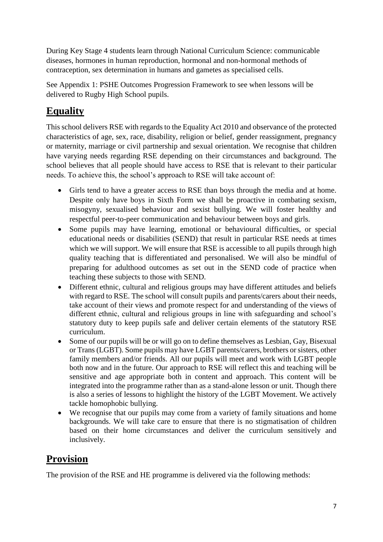During Key Stage 4 students learn through National Curriculum Science: communicable diseases, hormones in human reproduction, hormonal and non-hormonal methods of contraception, sex determination in humans and gametes as specialised cells.

See Appendix 1: PSHE Outcomes Progression Framework to see when lessons will be delivered to Rugby High School pupils.

# **Equality**

This school delivers RSE with regards to the Equality Act 2010 and observance of the protected characteristics of age, sex, race, disability, religion or belief, gender reassignment, pregnancy or maternity, marriage or civil partnership and sexual orientation. We recognise that children have varying needs regarding RSE depending on their circumstances and background. The school believes that all people should have access to RSE that is relevant to their particular needs. To achieve this, the school's approach to RSE will take account of:

- Girls tend to have a greater access to RSE than boys through the media and at home. Despite only have boys in Sixth Form we shall be proactive in combating sexism, misogyny, sexualised behaviour and sexist bullying. We will foster healthy and respectful peer-to-peer communication and behaviour between boys and girls.
- Some pupils may have learning, emotional or behavioural difficulties, or special educational needs or disabilities (SEND) that result in particular RSE needs at times which we will support. We will ensure that RSE is accessible to all pupils through high quality teaching that is differentiated and personalised. We will also be mindful of preparing for adulthood outcomes as set out in the SEND code of practice when teaching these subjects to those with SEND.
- Different ethnic, cultural and religious groups may have different attitudes and beliefs with regard to RSE. The school will consult pupils and parents/carers about their needs, take account of their views and promote respect for and understanding of the views of different ethnic, cultural and religious groups in line with safeguarding and school's statutory duty to keep pupils safe and deliver certain elements of the statutory RSE curriculum.
- Some of our pupils will be or will go on to define themselves as Lesbian, Gay, Bisexual or Trans (LGBT). Some pupils may have LGBT parents/carers, brothers or sisters, other family members and/or friends. All our pupils will meet and work with LGBT people both now and in the future. Our approach to RSE will reflect this and teaching will be sensitive and age appropriate both in content and approach. This content will be integrated into the programme rather than as a stand-alone lesson or unit. Though there is also a series of lessons to highlight the history of the LGBT Movement. We actively tackle homophobic bullying.
- We recognise that our pupils may come from a variety of family situations and home backgrounds. We will take care to ensure that there is no stigmatisation of children based on their home circumstances and deliver the curriculum sensitively and inclusively.

# **Provision**

The provision of the RSE and HE programme is delivered via the following methods: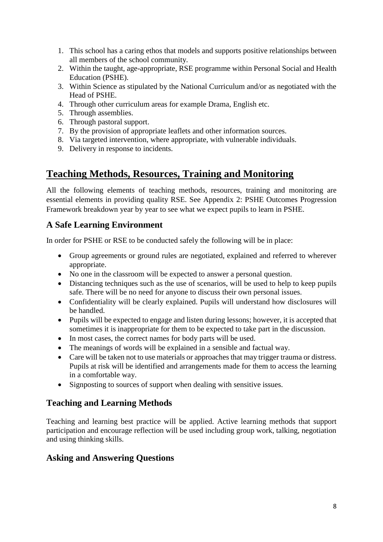- 1. This school has a caring ethos that models and supports positive relationships between all members of the school community.
- 2. Within the taught, age-appropriate, RSE programme within Personal Social and Health Education (PSHE).
- 3. Within Science as stipulated by the National Curriculum and/or as negotiated with the Head of PSHE.
- 4. Through other curriculum areas for example Drama, English etc.
- 5. Through assemblies.
- 6. Through pastoral support.
- 7. By the provision of appropriate leaflets and other information sources.
- 8. Via targeted intervention, where appropriate, with vulnerable individuals.
- 9. Delivery in response to incidents.

## **Teaching Methods, Resources, Training and Monitoring**

All the following elements of teaching methods, resources, training and monitoring are essential elements in providing quality RSE. See Appendix 2: PSHE Outcomes Progression Framework breakdown year by year to see what we expect pupils to learn in PSHE.

#### **A Safe Learning Environment**

In order for PSHE or RSE to be conducted safely the following will be in place:

- Group agreements or ground rules are negotiated, explained and referred to wherever appropriate.
- No one in the classroom will be expected to answer a personal question.
- Distancing techniques such as the use of scenarios, will be used to help to keep pupils safe. There will be no need for anyone to discuss their own personal issues.
- Confidentiality will be clearly explained. Pupils will understand how disclosures will be handled.
- Pupils will be expected to engage and listen during lessons; however, it is accepted that sometimes it is inappropriate for them to be expected to take part in the discussion.
- In most cases, the correct names for body parts will be used.
- The meanings of words will be explained in a sensible and factual way.
- Care will be taken not to use materials or approaches that may trigger trauma or distress. Pupils at risk will be identified and arrangements made for them to access the learning in a comfortable way.
- Signposting to sources of support when dealing with sensitive issues.

## **Teaching and Learning Methods**

Teaching and learning best practice will be applied. Active learning methods that support participation and encourage reflection will be used including group work, talking, negotiation and using thinking skills.

#### **Asking and Answering Questions**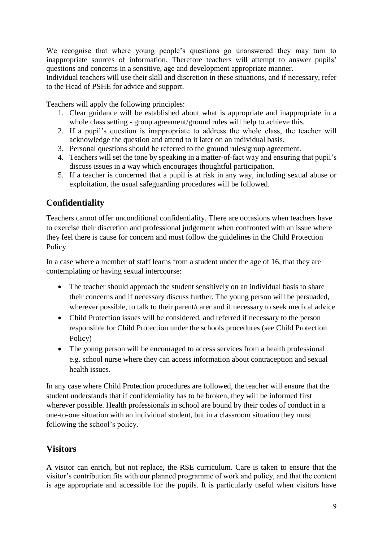We recognise that where young people's questions go unanswered they may turn to inappropriate sources of information. Therefore teachers will attempt to answer pupils' questions and concerns in a sensitive, age and development appropriate manner.

Individual teachers will use their skill and discretion in these situations, and if necessary, refer to the Head of PSHE for advice and support.

Teachers will apply the following principles:

- 1. Clear guidance will be established about what is appropriate and inappropriate in a whole class setting - group agreement/ground rules will help to achieve this.
- 2. If a pupil's question is inappropriate to address the whole class, the teacher will acknowledge the question and attend to it later on an individual basis.
- 3. Personal questions should be referred to the ground rules/group agreement.
- 4. Teachers will set the tone by speaking in a matter-of-fact way and ensuring that pupil's discuss issues in a way which encourages thoughtful participation.
- 5. If a teacher is concerned that a pupil is at risk in any way, including sexual abuse or exploitation, the usual safeguarding procedures will be followed.

## **Confidentiality**

Teachers cannot offer unconditional confidentiality. There are occasions when teachers have to exercise their discretion and professional judgement when confronted with an issue where they feel there is cause for concern and must follow the guidelines in the Child Protection Policy.

In a case where a member of staff learns from a student under the age of 16, that they are contemplating or having sexual intercourse:

- The teacher should approach the student sensitively on an individual basis to share their concerns and if necessary discuss further. The young person will be persuaded, wherever possible, to talk to their parent/carer and if necessary to seek medical advice
- Child Protection issues will be considered, and referred if necessary to the person responsible for Child Protection under the schools procedures (see Child Protection Policy)
- The young person will be encouraged to access services from a health professional e.g. school nurse where they can access information about contraception and sexual health issues.

In any case where Child Protection procedures are followed, the teacher will ensure that the student understands that if confidentiality has to be broken, they will be informed first wherever possible. Health professionals in school are bound by their codes of conduct in a one-to-one situation with an individual student, but in a classroom situation they must following the school's policy.

## **Visitors**

A visitor can enrich, but not replace, the RSE curriculum. Care is taken to ensure that the visitor's contribution fits with our planned programme of work and policy, and that the content is age appropriate and accessible for the pupils. It is particularly useful when visitors have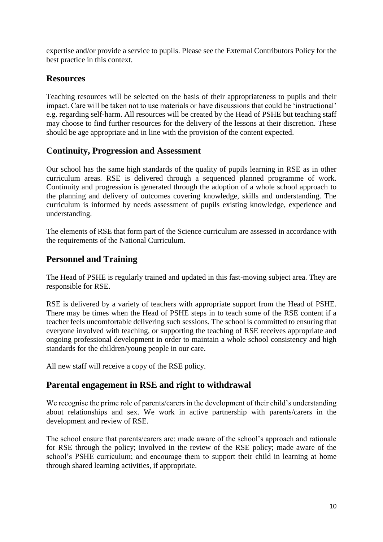expertise and/or provide a service to pupils. Please see the External Contributors Policy for the best practice in this context.

#### **Resources**

Teaching resources will be selected on the basis of their appropriateness to pupils and their impact. Care will be taken not to use materials or have discussions that could be 'instructional' e.g. regarding self-harm. All resources will be created by the Head of PSHE but teaching staff may choose to find further resources for the delivery of the lessons at their discretion. These should be age appropriate and in line with the provision of the content expected.

## **Continuity, Progression and Assessment**

Our school has the same high standards of the quality of pupils learning in RSE as in other curriculum areas. RSE is delivered through a sequenced planned programme of work. Continuity and progression is generated through the adoption of a whole school approach to the planning and delivery of outcomes covering knowledge, skills and understanding. The curriculum is informed by needs assessment of pupils existing knowledge, experience and understanding.

The elements of RSE that form part of the Science curriculum are assessed in accordance with the requirements of the National Curriculum.

## **Personnel and Training**

The Head of PSHE is regularly trained and updated in this fast-moving subject area. They are responsible for RSE.

RSE is delivered by a variety of teachers with appropriate support from the Head of PSHE. There may be times when the Head of PSHE steps in to teach some of the RSE content if a teacher feels uncomfortable delivering such sessions. The school is committed to ensuring that everyone involved with teaching, or supporting the teaching of RSE receives appropriate and ongoing professional development in order to maintain a whole school consistency and high standards for the children/young people in our care.

All new staff will receive a copy of the RSE policy.

## **Parental engagement in RSE and right to withdrawal**

We recognise the prime role of parents/carers in the development of their child's understanding about relationships and sex. We work in active partnership with parents/carers in the development and review of RSE.

The school ensure that parents/carers are: made aware of the school's approach and rationale for RSE through the policy; involved in the review of the RSE policy; made aware of the school's PSHE curriculum; and encourage them to support their child in learning at home through shared learning activities, if appropriate.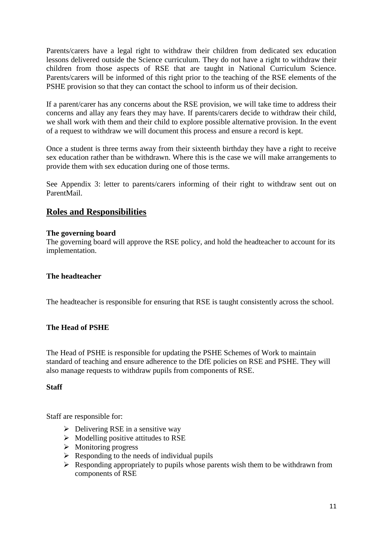Parents/carers have a legal right to withdraw their children from dedicated sex education lessons delivered outside the Science curriculum. They do not have a right to withdraw their children from those aspects of RSE that are taught in National Curriculum Science. Parents/carers will be informed of this right prior to the teaching of the RSE elements of the PSHE provision so that they can contact the school to inform us of their decision.

If a parent/carer has any concerns about the RSE provision, we will take time to address their concerns and allay any fears they may have. If parents/carers decide to withdraw their child, we shall work with them and their child to explore possible alternative provision. In the event of a request to withdraw we will document this process and ensure a record is kept.

Once a student is three terms away from their sixteenth birthday they have a right to receive sex education rather than be withdrawn. Where this is the case we will make arrangements to provide them with sex education during one of those terms.

See Appendix 3: letter to parents/carers informing of their right to withdraw sent out on ParentMail.

#### **Roles and Responsibilities**

#### **The governing board**

The governing board will approve the RSE policy, and hold the headteacher to account for its implementation.

#### **The headteacher**

The headteacher is responsible for ensuring that RSE is taught consistently across the school.

#### **The Head of PSHE**

The Head of PSHE is responsible for updating the PSHE Schemes of Work to maintain standard of teaching and ensure adherence to the DfE policies on RSE and PSHE. They will also manage requests to withdraw pupils from components of RSE.

#### **Staff**

Staff are responsible for:

- $\triangleright$  Delivering RSE in a sensitive way
- $\triangleright$  Modelling positive attitudes to RSE
- $\triangleright$  Monitoring progress
- $\triangleright$  Responding to the needs of individual pupils
- $\triangleright$  Responding appropriately to pupils whose parents wish them to be withdrawn from components of RSE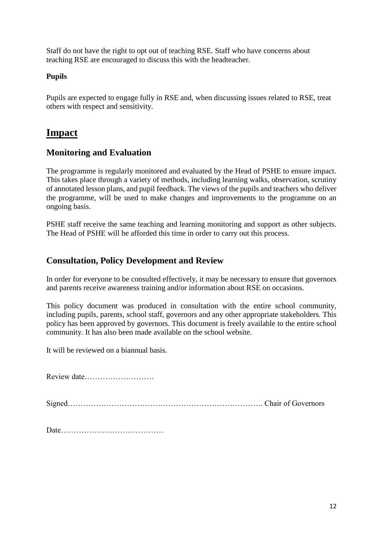Staff do not have the right to opt out of teaching RSE. Staff who have concerns about teaching RSE are encouraged to discuss this with the headteacher.

#### **Pupils**

Pupils are expected to engage fully in RSE and, when discussing issues related to RSE, treat others with respect and sensitivity.

## **Impact**

#### **Monitoring and Evaluation**

The programme is regularly monitored and evaluated by the Head of PSHE to ensure impact. This takes place through a variety of methods, including learning walks, observation, scrutiny of annotated lesson plans, and pupil feedback. The views of the pupils and teachers who deliver the programme, will be used to make changes and improvements to the programme on an ongoing basis.

PSHE staff receive the same teaching and learning monitoring and support as other subjects. The Head of PSHE will be afforded this time in order to carry out this process.

#### **Consultation, Policy Development and Review**

In order for everyone to be consulted effectively, it may be necessary to ensure that governors and parents receive awareness training and/or information about RSE on occasions.

This policy document was produced in consultation with the entire school community, including pupils, parents, school staff, governors and any other appropriate stakeholders. This policy has been approved by governors. This document is freely available to the entire school community. It has also been made available on the school website.

It will be reviewed on a biannual basis.

Review date………………………

Signed…………………………………………………………………. Chair of Governors

Date………………………………….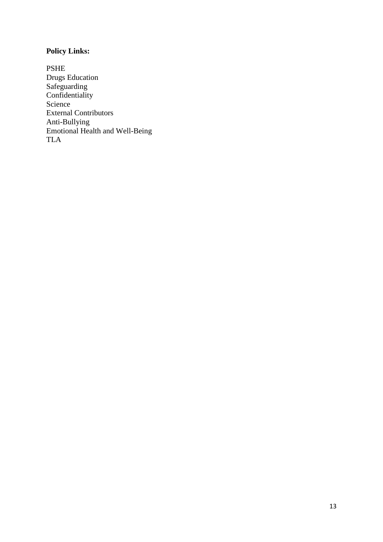## **Policy Links:**

PSHE Drugs Education Safeguarding **Confidentiality** Science External Contributors Anti-Bullying Emotional Health and Well-Being TLA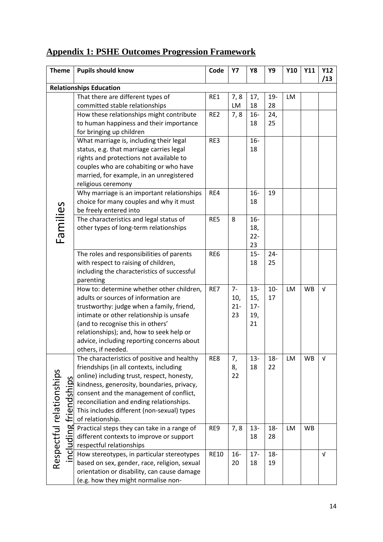## **Appendix 1: PSHE Outcomes Progression Framework**

| <b>Theme</b>                    | <b>Pupils should know</b>                                                             | Code            | <b>Y7</b>     | Y8            | Y9     | Y10 | <b>Y11</b> | <b>Y12</b><br>/13 |
|---------------------------------|---------------------------------------------------------------------------------------|-----------------|---------------|---------------|--------|-----|------------|-------------------|
|                                 | <b>Relationships Education</b>                                                        |                 |               |               |        |     |            |                   |
|                                 | That there are different types of                                                     | RE1             | 7,8           | 17,           | $19-$  | LM  |            |                   |
|                                 | committed stable relationships                                                        |                 | LM            | 18            | 28     |     |            |                   |
|                                 | How these relationships might contribute                                              | RE <sub>2</sub> | 7,8           | $16-$         | 24,    |     |            |                   |
|                                 | to human happiness and their importance                                               |                 |               | 18            | 25     |     |            |                   |
|                                 | for bringing up children                                                              |                 |               |               |        |     |            |                   |
|                                 | What marriage is, including their legal                                               | RE3             |               | $16-$         |        |     |            |                   |
|                                 | status, e.g. that marriage carries legal                                              |                 |               | 18            |        |     |            |                   |
|                                 | rights and protections not available to                                               |                 |               |               |        |     |            |                   |
|                                 | couples who are cohabiting or who have                                                |                 |               |               |        |     |            |                   |
|                                 | married, for example, in an unregistered                                              |                 |               |               |        |     |            |                   |
|                                 | religious ceremony                                                                    |                 |               |               |        |     |            |                   |
|                                 | Why marriage is an important relationships                                            | RE4             |               | $16 -$        | 19     |     |            |                   |
|                                 | choice for many couples and why it must                                               |                 |               | 18            |        |     |            |                   |
|                                 | be freely entered into                                                                |                 |               |               |        |     |            |                   |
| Families                        | The characteristics and legal status of                                               | RE5             | 8             | $16-$         |        |     |            |                   |
|                                 | other types of long-term relationships                                                |                 |               | 18,           |        |     |            |                   |
|                                 |                                                                                       |                 |               | $22 -$        |        |     |            |                   |
|                                 |                                                                                       |                 |               | 23            |        |     |            |                   |
|                                 |                                                                                       | RE6             |               | $15 -$        | $24 -$ |     |            |                   |
|                                 | The roles and responsibilities of parents<br>with respect to raising of children,     |                 |               | 18            | 25     |     |            |                   |
|                                 | including the characteristics of successful                                           |                 |               |               |        |     |            |                   |
|                                 |                                                                                       |                 |               |               |        |     |            |                   |
|                                 | parenting<br>How to: determine whether other children,                                | RE7             | $7-$          |               | $10-$  | LM  |            | $\sqrt{ }$        |
|                                 | adults or sources of information are                                                  |                 |               | $13 -$        |        |     | WB         |                   |
|                                 |                                                                                       |                 | 10,<br>$21 -$ | 15,<br>$17 -$ | 17     |     |            |                   |
|                                 | trustworthy: judge when a family, friend,<br>intimate or other relationship is unsafe |                 | 23            |               |        |     |            |                   |
|                                 | (and to recognise this in others'                                                     |                 |               | 19,           |        |     |            |                   |
|                                 |                                                                                       |                 |               | 21            |        |     |            |                   |
|                                 | relationships); and, how to seek help or                                              |                 |               |               |        |     |            |                   |
|                                 | advice, including reporting concerns about<br>others, if needed.                      |                 |               |               |        |     |            |                   |
|                                 | The characteristics of positive and healthy                                           | RE8             | 7,            | $13 -$        | $18 -$ | LM  | <b>WB</b>  | $\sqrt{ }$        |
|                                 | friendships (in all contexts, including                                               |                 | 8,            | 18            | 22     |     |            |                   |
|                                 | online) including trust, respect, honesty,                                            |                 | 22            |               |        |     |            |                   |
|                                 | kindness, generosity, boundaries, privacy,                                            |                 |               |               |        |     |            |                   |
|                                 | consent and the management of conflict,                                               |                 |               |               |        |     |            |                   |
|                                 | reconciliation and ending relationships.                                              |                 |               |               |        |     |            |                   |
|                                 | This includes different (non-sexual) types                                            |                 |               |               |        |     |            |                   |
| friendships                     | of relationship.                                                                      |                 |               |               |        |     |            |                   |
|                                 | Practical steps they can take in a range of                                           | RE9             | 7,8           | $13 -$        | $18 -$ | LM  | <b>WB</b>  |                   |
|                                 | different contexts to improve or support                                              |                 |               | 18            | 28     |     |            |                   |
| uding                           | respectful relationships                                                              |                 |               |               |        |     |            |                   |
| Respectful relationships<br>ncl | How stereotypes, in particular stereotypes                                            | <b>RE10</b>     | $16 -$        | $17 -$        | $18 -$ |     |            | V                 |
|                                 | based on sex, gender, race, religion, sexual                                          |                 | 20            | 18            | 19     |     |            |                   |
|                                 | orientation or disability, can cause damage                                           |                 |               |               |        |     |            |                   |
|                                 | (e.g. how they might normalise non-                                                   |                 |               |               |        |     |            |                   |
|                                 |                                                                                       |                 |               |               |        |     |            |                   |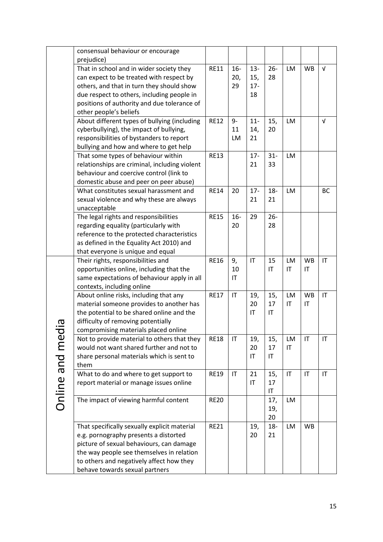|               | consensual behaviour or encourage             |             |                        |                        |        |                        |           |                        |
|---------------|-----------------------------------------------|-------------|------------------------|------------------------|--------|------------------------|-----------|------------------------|
|               | prejudice)                                    |             |                        |                        |        |                        |           |                        |
|               | That in school and in wider society they      | <b>RE11</b> | $16-$                  | $13 -$                 | $26 -$ | LM                     | <b>WB</b> | $\sqrt{ }$             |
|               | can expect to be treated with respect by      |             | 20,                    | 15,                    | 28     |                        |           |                        |
|               | others, and that in turn they should show     |             | 29                     | $17 -$                 |        |                        |           |                        |
|               | due respect to others, including people in    |             |                        | 18                     |        |                        |           |                        |
|               | positions of authority and due tolerance of   |             |                        |                        |        |                        |           |                        |
|               | other people's beliefs                        |             |                        |                        |        |                        |           |                        |
|               | About different types of bullying (including  | <b>RE12</b> | 9-                     | $11 -$                 | 15,    | <b>LM</b>              |           | $\sqrt{ }$             |
|               | cyberbullying), the impact of bullying,       |             | 11                     | 14,                    | 20     |                        |           |                        |
|               | responsibilities of bystanders to report      |             | LM                     | 21                     |        |                        |           |                        |
|               | bullying and how and where to get help        |             |                        |                        |        |                        |           |                        |
|               | That some types of behaviour within           | <b>RE13</b> |                        | $17 -$                 | $31 -$ | <b>LM</b>              |           |                        |
|               | relationships are criminal, including violent |             |                        | 21                     | 33     |                        |           |                        |
|               | behaviour and coercive control (link to       |             |                        |                        |        |                        |           |                        |
|               | domestic abuse and peer on peer abuse)        |             |                        |                        |        |                        |           |                        |
|               | What constitutes sexual harassment and        | <b>RE14</b> | 20                     | $17 -$                 | $18 -$ | <b>LM</b>              |           | <b>BC</b>              |
|               |                                               |             |                        | 21                     | 21     |                        |           |                        |
|               | sexual violence and why these are always      |             |                        |                        |        |                        |           |                        |
|               | unacceptable                                  |             |                        |                        |        |                        |           |                        |
|               | The legal rights and responsibilities         | <b>RE15</b> | $16-$                  | 29                     | $26 -$ |                        |           |                        |
|               | regarding equality (particularly with         |             | 20                     |                        | 28     |                        |           |                        |
|               | reference to the protected characteristics    |             |                        |                        |        |                        |           |                        |
|               | as defined in the Equality Act 2010) and      |             |                        |                        |        |                        |           |                        |
|               | that everyone is unique and equal             |             |                        |                        |        |                        |           |                        |
|               | Their rights, responsibilities and            | <b>RE16</b> | 9,                     | $\mathsf{I}\mathsf{T}$ | 15     | LM                     | <b>WB</b> | $\mathsf{I}\mathsf{T}$ |
|               | opportunities online, including that the      |             | 10                     |                        | IT     | IT                     | IT        |                        |
|               | same expectations of behaviour apply in all   |             | IT                     |                        |        |                        |           |                        |
|               | contexts, including online                    |             |                        |                        |        |                        |           |                        |
|               | About online risks, including that any        | <b>RE17</b> | $\mathsf{I}\mathsf{T}$ | 19,                    | 15,    | LM                     | <b>WB</b> | $\mathsf{I}\mathsf{T}$ |
|               | material someone provides to another has      |             |                        | 20                     | 17     | $\mathsf{I}\mathsf{T}$ | IT        |                        |
|               | the potential to be shared online and the     |             |                        | IT                     | IT     |                        |           |                        |
|               | difficulty of removing potentially            |             |                        |                        |        |                        |           |                        |
|               | compromising materials placed online          |             |                        |                        |        |                        |           |                        |
|               | Not to provide material to others that they   | <b>RE18</b> | IT                     | 19,                    | 15,    | LM                     | IT        | IT                     |
|               | would not want shared further and not to      |             |                        | 20                     | 17     | $\mathsf{I}\mathsf{T}$ |           |                        |
|               | share personal materials which is sent to     |             |                        | $\mathsf{I}\mathsf{T}$ | IT     |                        |           |                        |
|               | them                                          |             |                        |                        |        |                        |           |                        |
|               | What to do and where to get support to        | <b>RE19</b> | IT                     | 21                     | 15,    | $\mathsf{I}\mathsf{T}$ | IT        | IT                     |
|               | report material or manage issues online       |             |                        | IT                     | 17     |                        |           |                        |
|               |                                               |             |                        |                        | IT     |                        |           |                        |
| Online and me | The impact of viewing harmful content         | <b>RE20</b> |                        |                        | 17,    | <b>LM</b>              |           |                        |
|               |                                               |             |                        |                        | 19,    |                        |           |                        |
|               |                                               |             |                        |                        | 20     |                        |           |                        |
|               | That specifically sexually explicit material  | <b>RE21</b> |                        | 19,                    | $18-$  | LM                     | <b>WB</b> |                        |
|               | e.g. pornography presents a distorted         |             |                        | 20                     | 21     |                        |           |                        |
|               | picture of sexual behaviours, can damage      |             |                        |                        |        |                        |           |                        |
|               | the way people see themselves in relation     |             |                        |                        |        |                        |           |                        |
|               | to others and negatively affect how they      |             |                        |                        |        |                        |           |                        |
|               | behave towards sexual partners                |             |                        |                        |        |                        |           |                        |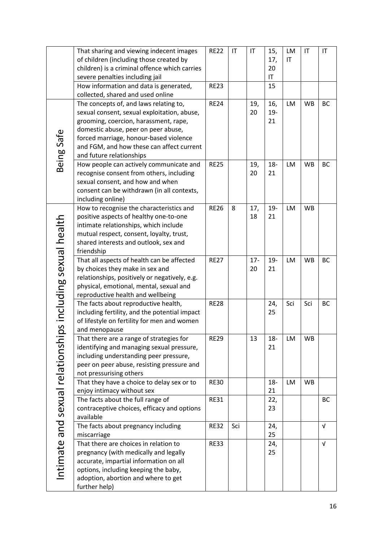|                                 | That sharing and viewing indecent images                                         | <b>RE22</b> | IT  | $\mathsf{I}\mathsf{T}$ | 15,       | LM                     | $\mathsf{I}\mathsf{T}$ | $\mathsf{I}\mathsf{T}$ |
|---------------------------------|----------------------------------------------------------------------------------|-------------|-----|------------------------|-----------|------------------------|------------------------|------------------------|
|                                 | of children (including those created by                                          |             |     |                        | 17,       | $\mathsf{I}\mathsf{T}$ |                        |                        |
|                                 | children) is a criminal offence which carries                                    |             |     |                        | 20        |                        |                        |                        |
|                                 | severe penalties including jail                                                  |             |     |                        | IT        |                        |                        |                        |
|                                 | How information and data is generated,                                           | <b>RE23</b> |     |                        | 15        |                        |                        |                        |
|                                 | collected, shared and used online                                                |             |     |                        |           |                        |                        |                        |
|                                 | The concepts of, and laws relating to,                                           | <b>RE24</b> |     | 19,                    | 16,       | LM                     | <b>WB</b>              | BC                     |
|                                 | sexual consent, sexual exploitation, abuse,                                      |             |     | 20                     | $19 -$    |                        |                        |                        |
|                                 | grooming, coercion, harassment, rape,                                            |             |     |                        | 21        |                        |                        |                        |
|                                 | domestic abuse, peer on peer abuse,                                              |             |     |                        |           |                        |                        |                        |
|                                 | forced marriage, honour-based violence                                           |             |     |                        |           |                        |                        |                        |
|                                 | and FGM, and how these can affect current                                        |             |     |                        |           |                        |                        |                        |
|                                 | and future relationships                                                         |             |     |                        |           |                        |                        |                        |
| Being Safe                      | How people can actively communicate and                                          | <b>RE25</b> |     | 19,                    | $18 -$    | LM                     | <b>WB</b>              | <b>BC</b>              |
|                                 | recognise consent from others, including                                         |             |     | 20                     | 21        |                        |                        |                        |
|                                 | sexual consent, and how and when                                                 |             |     |                        |           |                        |                        |                        |
|                                 | consent can be withdrawn (in all contexts,                                       |             |     |                        |           |                        |                        |                        |
|                                 | including online)                                                                |             |     |                        |           |                        |                        |                        |
|                                 | How to recognise the characteristics and                                         | <b>RE26</b> | 8   | 17,                    | 19-       | LM                     | <b>WB</b>              |                        |
|                                 | positive aspects of healthy one-to-one                                           |             |     | 18                     | 21        |                        |                        |                        |
|                                 | intimate relationships, which include                                            |             |     |                        |           |                        |                        |                        |
|                                 | mutual respect, consent, loyalty, trust,                                         |             |     |                        |           |                        |                        |                        |
|                                 | shared interests and outlook, sex and                                            |             |     |                        |           |                        |                        |                        |
|                                 | friendship                                                                       |             |     |                        |           |                        |                        |                        |
| ps including sexual health      | That all aspects of health can be affected                                       | <b>RE27</b> |     | $17 -$<br>20           | 19-<br>21 | <b>LM</b>              | <b>WB</b>              | <b>BC</b>              |
|                                 | by choices they make in sex and<br>relationships, positively or negatively, e.g. |             |     |                        |           |                        |                        |                        |
|                                 | physical, emotional, mental, sexual and                                          |             |     |                        |           |                        |                        |                        |
|                                 |                                                                                  |             |     |                        |           |                        |                        |                        |
|                                 | reproductive health and wellbeing<br>The facts about reproductive health,        | <b>RE28</b> |     |                        | 24,       | Sci                    | Sci                    | BC                     |
|                                 | including fertility, and the potential impact                                    |             |     |                        | 25        |                        |                        |                        |
|                                 | of lifestyle on fertility for men and women                                      |             |     |                        |           |                        |                        |                        |
|                                 | and menopause                                                                    |             |     |                        |           |                        |                        |                        |
|                                 | That there are a range of strategies for                                         | <b>RE29</b> |     | 13                     | $18-$     | LM                     | <b>WB</b>              |                        |
|                                 | identifying and managing sexual pressure,                                        |             |     |                        | 21        |                        |                        |                        |
|                                 | including understanding peer pressure,                                           |             |     |                        |           |                        |                        |                        |
|                                 | peer on peer abuse, resisting pressure and                                       |             |     |                        |           |                        |                        |                        |
|                                 | not pressurising others                                                          |             |     |                        |           |                        |                        |                        |
|                                 | That they have a choice to delay sex or to                                       | <b>RE30</b> |     |                        | $18 -$    | LM                     | <b>WB</b>              |                        |
|                                 | enjoy intimacy without sex                                                       |             |     |                        | 21        |                        |                        |                        |
|                                 | The facts about the full range of                                                | <b>RE31</b> |     |                        | 22,       |                        |                        | BC                     |
|                                 | contraceptive choices, efficacy and options                                      |             |     |                        | 23        |                        |                        |                        |
|                                 | available                                                                        |             |     |                        |           |                        |                        |                        |
|                                 | The facts about pregnancy including                                              | <b>RE32</b> | Sci |                        | 24,       |                        |                        | V                      |
|                                 | miscarriage                                                                      |             |     |                        | 25        |                        |                        |                        |
|                                 | That there are choices in relation to                                            | <b>RE33</b> |     |                        | 24,       |                        |                        | $\sqrt{ }$             |
| Intimate and sexual relationshi | pregnancy (with medically and legally                                            |             |     |                        | 25        |                        |                        |                        |
|                                 | accurate, impartial information on all                                           |             |     |                        |           |                        |                        |                        |
|                                 | options, including keeping the baby,                                             |             |     |                        |           |                        |                        |                        |
|                                 | adoption, abortion and where to get                                              |             |     |                        |           |                        |                        |                        |
|                                 | further help)                                                                    |             |     |                        |           |                        |                        |                        |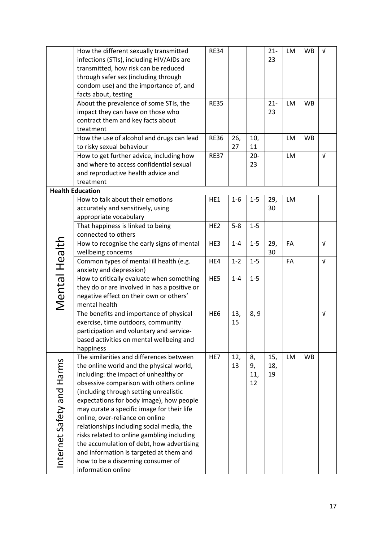|                           | How the different sexually transmitted       | <b>RE34</b>     |         |         | $21 -$ | <b>LM</b> | <b>WB</b> | $\sqrt{ }$ |
|---------------------------|----------------------------------------------|-----------------|---------|---------|--------|-----------|-----------|------------|
|                           | infections (STIs), including HIV/AIDs are    |                 |         |         | 23     |           |           |            |
|                           | transmitted, how risk can be reduced         |                 |         |         |        |           |           |            |
|                           | through safer sex (including through         |                 |         |         |        |           |           |            |
|                           | condom use) and the importance of, and       |                 |         |         |        |           |           |            |
|                           | facts about, testing                         |                 |         |         |        |           |           |            |
|                           | About the prevalence of some STIs, the       | <b>RE35</b>     |         |         | $21 -$ | LM        | <b>WB</b> |            |
|                           | impact they can have on those who            |                 |         |         | 23     |           |           |            |
|                           | contract them and key facts about            |                 |         |         |        |           |           |            |
|                           | treatment                                    |                 |         |         |        |           |           |            |
|                           | How the use of alcohol and drugs can lead    | <b>RE36</b>     | 26,     | 10,     |        | LM        | <b>WB</b> |            |
|                           | to risky sexual behaviour                    |                 | 27      | 11      |        |           |           |            |
|                           | How to get further advice, including how     | <b>RE37</b>     |         | $20 -$  |        | <b>LM</b> |           | $\sqrt{ }$ |
|                           | and where to access confidential sexual      |                 |         | 23      |        |           |           |            |
|                           | and reproductive health advice and           |                 |         |         |        |           |           |            |
|                           | treatment                                    |                 |         |         |        |           |           |            |
|                           | <b>Health Education</b>                      |                 |         |         |        |           |           |            |
|                           | How to talk about their emotions             | HE1             | $1 - 6$ | $1 - 5$ | 29,    | LM        |           |            |
|                           | accurately and sensitively, using            |                 |         |         | 30     |           |           |            |
|                           | appropriate vocabulary                       |                 |         |         |        |           |           |            |
|                           | That happiness is linked to being            | HE <sub>2</sub> | $5 - 8$ | $1 - 5$ |        |           |           |            |
|                           | connected to others                          |                 |         |         |        |           |           |            |
|                           | How to recognise the early signs of mental   | HE3             | $1 - 4$ | $1-5$   | 29,    | FA        |           | $\sqrt{ }$ |
|                           | wellbeing concerns                           |                 |         |         | 30     |           |           |            |
|                           | Common types of mental ill health (e.g.      | HE4             | $1 - 2$ | $1 - 5$ |        | FA        |           | $\sqrt{ }$ |
|                           | anxiety and depression)                      |                 |         |         |        |           |           |            |
|                           | How to critically evaluate when something    | HE5             | $1 - 4$ | $1 - 5$ |        |           |           |            |
|                           | they do or are involved in has a positive or |                 |         |         |        |           |           |            |
|                           | negative effect on their own or others'      |                 |         |         |        |           |           |            |
| Mental Health             | mental health                                |                 |         |         |        |           |           |            |
|                           | The benefits and importance of physical      | HE <sub>6</sub> | 13,     | 8, 9    |        |           |           | $\sqrt{ }$ |
|                           | exercise, time outdoors, community           |                 | 15      |         |        |           |           |            |
|                           | participation and voluntary and service-     |                 |         |         |        |           |           |            |
|                           | based activities on mental wellbeing and     |                 |         |         |        |           |           |            |
|                           | happiness                                    |                 |         |         |        |           |           |            |
|                           | The similarities and differences between     | HE7             | 12,     | 8,      | 15,    | LM        | <b>WB</b> |            |
|                           | the online world and the physical world,     |                 | 13      | 9,      | 18,    |           |           |            |
|                           | including: the impact of unhealthy or        |                 |         | 11,     | 19     |           |           |            |
|                           | obsessive comparison with others online      |                 |         | 12      |        |           |           |            |
|                           | (including through setting unrealistic       |                 |         |         |        |           |           |            |
|                           | expectations for body image), how people     |                 |         |         |        |           |           |            |
| Internet Safety and Harms | may curate a specific image for their life   |                 |         |         |        |           |           |            |
|                           | online, over-reliance on online              |                 |         |         |        |           |           |            |
|                           | relationships including social media, the    |                 |         |         |        |           |           |            |
|                           | risks related to online gambling including   |                 |         |         |        |           |           |            |
|                           | the accumulation of debt, how advertising    |                 |         |         |        |           |           |            |
|                           | and information is targeted at them and      |                 |         |         |        |           |           |            |
|                           | how to be a discerning consumer of           |                 |         |         |        |           |           |            |
|                           | information online                           |                 |         |         |        |           |           |            |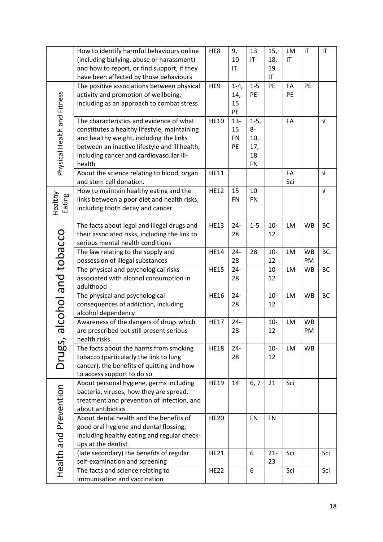|                             | How to identify harmful behaviours online                         | HE8         | 9,        | 13                     | 15,          | <b>LM</b>              | IT        | $\mathsf{I}\mathsf{T}$ |
|-----------------------------|-------------------------------------------------------------------|-------------|-----------|------------------------|--------------|------------------------|-----------|------------------------|
|                             | (including bullying, abuse or harassment)                         |             | 10        | $\mathsf{I}\mathsf{T}$ | 18,          | $\mathsf{I}\mathsf{T}$ |           |                        |
|                             | and how to report, or find support, if they                       |             | IT        |                        | 19           |                        |           |                        |
|                             | have been affected by those behaviours                            |             |           |                        | IT           |                        |           |                        |
|                             | The positive associations between physical                        | HE9         | $1 - 4$   | $1-5$                  | PE           | FA                     | PE        |                        |
|                             | activity and promotion of wellbeing,                              |             | 14,       | PE                     |              | PE                     |           |                        |
|                             | including as an approach to combat stress                         |             | 15        |                        |              |                        |           |                        |
|                             |                                                                   |             | PE        |                        |              |                        |           |                        |
| Physical Health and Fitness | The characteristics and evidence of what                          | <b>HE10</b> | $13 -$    | $1-5,$                 |              | FA                     |           | $\sqrt{ }$             |
|                             | constitutes a healthy lifestyle, maintaining                      |             | 15        | 8-                     |              |                        |           |                        |
|                             | and healthy weight, including the links                           |             | <b>FN</b> | 10,                    |              |                        |           |                        |
|                             | between an inactive lifestyle and ill health,                     |             | PE        | 17,                    |              |                        |           |                        |
|                             | including cancer and cardiovascular ill-                          |             |           | 18                     |              |                        |           |                        |
|                             | health                                                            |             |           | <b>FN</b>              |              |                        |           |                        |
|                             | About the science relating to blood, organ                        | <b>HE11</b> |           |                        |              | FA                     |           | $\sqrt{ }$             |
|                             | and stem cell donation.                                           |             |           |                        |              | Sci                    |           |                        |
|                             | How to maintain healthy eating and the                            | <b>HE12</b> | 15        | 10                     |              |                        |           | $\sqrt{ }$             |
|                             | links between a poor diet and health risks,                       |             | <b>FN</b> | <b>FN</b>              |              |                        |           |                        |
| Healthy<br>Eating           | including tooth decay and cancer                                  |             |           |                        |              |                        |           |                        |
|                             |                                                                   |             |           |                        |              |                        |           |                        |
|                             | The facts about legal and illegal drugs and                       | <b>HE13</b> | $24 -$    | $1-5$                  | $10-$        | LM                     | <b>WB</b> | <b>BC</b>              |
|                             | their associated risks, including the link to                     |             | 28        |                        | 12           |                        |           |                        |
|                             | serious mental health conditions                                  |             |           |                        |              |                        |           |                        |
|                             | The law relating to the supply and                                | <b>HE14</b> | $24 -$    | 28                     | $10-$        | <b>LM</b>              | <b>WB</b> | <b>BC</b>              |
|                             | possession of illegal substances                                  |             | 28        |                        | 12           |                        | PM        |                        |
|                             | The physical and psychological risks                              | <b>HE15</b> | $24 -$    |                        | $10-$        | LM                     | <b>WB</b> | BC                     |
|                             | associated with alcohol consumption in                            |             | 28        |                        | 12           |                        |           |                        |
| alcohol and tobacco         | adulthood                                                         |             |           |                        |              |                        |           |                        |
|                             | The physical and psychological                                    | <b>HE16</b> | $24 -$    |                        | $10-$        | LM                     | <b>WB</b> | <b>BC</b>              |
|                             | consequences of addiction, including                              |             | 28        |                        | 12           |                        |           |                        |
|                             | alcohol dependency                                                |             |           |                        |              |                        |           |                        |
|                             | Awareness of the dangers of drugs which                           | <b>HE17</b> | $24 -$    |                        | $10-$        | LM                     | <b>WB</b> |                        |
|                             | are prescribed but still present serious                          |             | 28        |                        | 12           |                        | PM        |                        |
|                             | health risks                                                      |             |           |                        |              |                        |           |                        |
| Drugs,                      | The facts about the harms from smoking                            | <b>HE18</b> | $24 -$    |                        | $10 -$       | <b>LM</b>              | <b>WB</b> |                        |
|                             | tobacco (particularly the link to lung                            |             | 28        |                        | 12           |                        |           |                        |
|                             | cancer), the benefits of quitting and how                         |             |           |                        |              |                        |           |                        |
|                             | to access support to do so                                        |             |           |                        |              |                        |           |                        |
|                             | About personal hygiene, germs including                           | <b>HE19</b> | 14        | 6, 7                   | 21           | Sci                    |           |                        |
|                             | bacteria, viruses, how they are spread,                           |             |           |                        |              |                        |           |                        |
|                             | treatment and prevention of infection, and                        |             |           |                        |              |                        |           |                        |
|                             | about antibiotics<br>About dental health and the benefits of      |             |           |                        |              |                        |           |                        |
|                             |                                                                   | <b>HE20</b> |           | <b>FN</b>              | <b>FN</b>    |                        |           |                        |
|                             | good oral hygiene and dental flossing,                            |             |           |                        |              |                        |           |                        |
|                             | including healthy eating and regular check-                       |             |           |                        |              |                        |           |                        |
|                             | ups at the dentist                                                |             |           |                        |              |                        |           |                        |
| Health and Prevention       | (late secondary) the benefits of regular                          | <b>HE21</b> |           | 6                      | $21 -$<br>23 | Sci                    |           | Sci                    |
|                             | self-examination and screening                                    |             |           | 6                      |              | Sci                    |           |                        |
|                             | The facts and science relating to<br>immunisation and vaccination | <b>HE22</b> |           |                        |              |                        |           | Sci                    |
|                             |                                                                   |             |           |                        |              |                        |           |                        |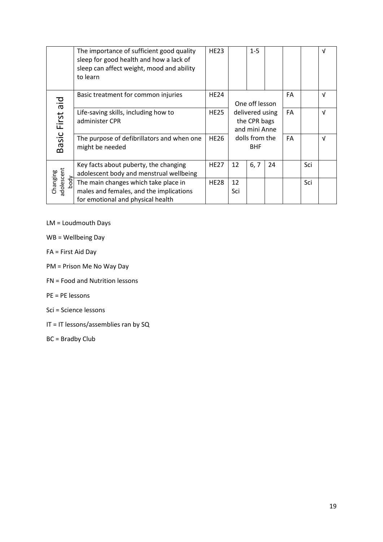|                                | The importance of sufficient good quality<br>sleep for good health and how a lack of<br>sleep can affect weight, mood and ability<br>to learn | <b>HE23</b> |                                                  | $1 - 5$        |    |    |            | V          |
|--------------------------------|-----------------------------------------------------------------------------------------------------------------------------------------------|-------------|--------------------------------------------------|----------------|----|----|------------|------------|
| Die                            | Basic treatment for common injuries                                                                                                           | <b>HE24</b> |                                                  | One off lesson |    | FA |            | V          |
| First                          | Life-saving skills, including how to<br>administer CPR                                                                                        | <b>HE25</b> | delivered using<br>the CPR bags<br>and mini Anne |                |    | FA |            | $\sqrt{ }$ |
| Basic I                        | The purpose of defibrillators and when one<br>might be needed                                                                                 | <b>HE26</b> | dolls from the<br><b>BHF</b>                     |                | FA |    | $\sqrt{ }$ |            |
|                                | Key facts about puberty, the changing<br>adolescent body and menstrual wellbeing                                                              | <b>HE27</b> | 12                                               | 6, 7           | 24 |    | Sci        |            |
| Changing<br>adolescent<br>body | The main changes which take place in<br>males and females, and the implications<br>for emotional and physical health                          | <b>HE28</b> | 12<br>Sci                                        |                |    |    | Sci        |            |

LM = Loudmouth Days

- WB = Wellbeing Day
- FA = First Aid Day
- PM = Prison Me No Way Day
- FN = Food and Nutrition lessons
- PE = PE lessons
- Sci = Science lessons
- IT = IT lessons/assemblies ran by SQ
- BC = Bradby Club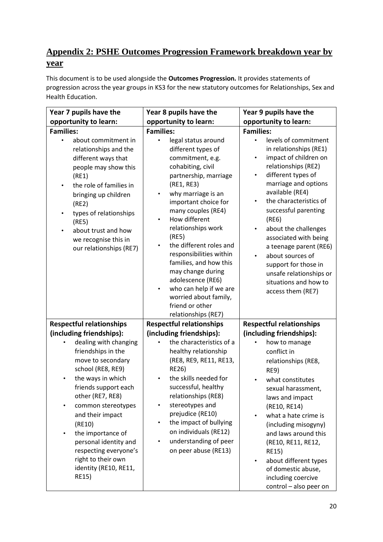## **Appendix 2: PSHE Outcomes Progression Framework breakdown year by year**

This document is to be used alongside the **Outcomes Progression.** It provides statements of progression across the year groups in KS3 for the new statutory outcomes for Relationships, Sex and Health Education.

| Year 7 pupils have the                                                                                                                                                                                                                                                                                                                                                                                                                    | Year 8 pupils have the                                                                                                                                                                                                                                                                                                                                                                                                                                                                           | Year 9 pupils have the                                                                                                                                                                                                                                                                                                                                                                                                                                                                                                       |
|-------------------------------------------------------------------------------------------------------------------------------------------------------------------------------------------------------------------------------------------------------------------------------------------------------------------------------------------------------------------------------------------------------------------------------------------|--------------------------------------------------------------------------------------------------------------------------------------------------------------------------------------------------------------------------------------------------------------------------------------------------------------------------------------------------------------------------------------------------------------------------------------------------------------------------------------------------|------------------------------------------------------------------------------------------------------------------------------------------------------------------------------------------------------------------------------------------------------------------------------------------------------------------------------------------------------------------------------------------------------------------------------------------------------------------------------------------------------------------------------|
| opportunity to learn:                                                                                                                                                                                                                                                                                                                                                                                                                     | opportunity to learn:                                                                                                                                                                                                                                                                                                                                                                                                                                                                            | opportunity to learn:                                                                                                                                                                                                                                                                                                                                                                                                                                                                                                        |
| <b>Families:</b><br>about commitment in<br>$\bullet$<br>relationships and the<br>different ways that<br>people may show this<br>(RE1)<br>the role of families in<br>$\bullet$<br>bringing up children<br>(RE2)<br>types of relationships<br>$\bullet$<br>(RE5)<br>about trust and how<br>we recognise this in<br>our relationships (RE7)                                                                                                  | <b>Families:</b><br>legal status around<br>different types of<br>commitment, e.g.<br>cohabiting, civil<br>partnership, marriage<br>(RE1, RE3)<br>why marriage is an<br>$\bullet$<br>important choice for<br>many couples (RE4)<br>How different<br>$\bullet$<br>relationships work<br>(RE5)<br>the different roles and<br>responsibilities within<br>families, and how this<br>may change during<br>adolescence (RE6)<br>who can help if we are<br>٠<br>worried about family,<br>friend or other | <b>Families:</b><br>levels of commitment<br>$\bullet$<br>in relationships (RE1)<br>impact of children on<br>$\bullet$<br>relationships (RE2)<br>different types of<br>$\bullet$<br>marriage and options<br>available (RE4)<br>the characteristics of<br>$\bullet$<br>successful parenting<br>(RE6)<br>about the challenges<br>$\bullet$<br>associated with being<br>a teenage parent (RE6)<br>about sources of<br>$\bullet$<br>support for those in<br>unsafe relationships or<br>situations and how to<br>access them (RE7) |
| <b>Respectful relationships</b><br>(including friendships):<br>dealing with changing<br>friendships in the<br>move to secondary<br>school (RE8, RE9)<br>the ways in which<br>$\bullet$<br>friends support each<br>other (RE7, RE8)<br>common stereotypes<br>and their impact<br>(RE10)<br>the importance of<br>$\bullet$<br>personal identity and<br>respecting everyone's<br>right to their own<br>identity (RE10, RE11,<br><b>RE15)</b> | relationships (RE7)<br><b>Respectful relationships</b><br>(including friendships):<br>the characteristics of a<br>healthy relationship<br>(RE8, RE9, RE11, RE13,<br><b>RE26)</b><br>the skills needed for<br>$\bullet$<br>successful, healthy<br>relationships (RE8)<br>stereotypes and<br>prejudice (RE10)<br>the impact of bullying<br>$\bullet$<br>on individuals (RE12)<br>understanding of peer<br>on peer abuse (RE13)                                                                     | <b>Respectful relationships</b><br>(including friendships):<br>how to manage<br>conflict in<br>relationships (RE8,<br>RE9)<br>what constitutes<br>sexual harassment,<br>laws and impact<br>(RE10, RE14)<br>what a hate crime is<br>(including misogyny)<br>and laws around this<br>(RE10, RE11, RE12,<br><b>RE15)</b><br>about different types<br>$\bullet$<br>of domestic abuse,<br>including coercive<br>control - also peer on                                                                                            |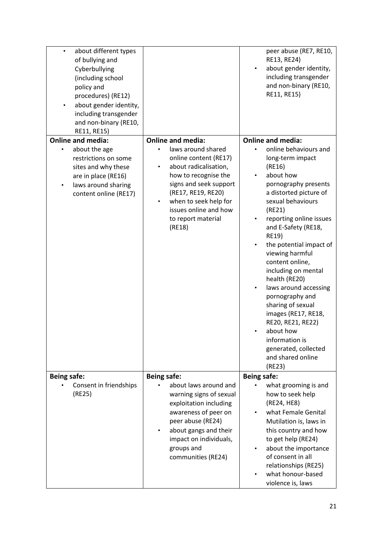| about different types<br>$\bullet$<br>of bullying and<br>Cyberbullying<br>(including school<br>policy and<br>procedures) (RE12)<br>about gender identity,<br>$\bullet$<br>including transgender<br>and non-binary (RE10,<br>RE11, RE15) |                                                                                                                                                                                                                                     | peer abuse (RE7, RE10,<br>RE13, RE24)<br>about gender identity,<br>including transgender<br>and non-binary (RE10,<br>RE11, RE15)                                                                                                                                                                                                                                                                                                                                                                                                |
|-----------------------------------------------------------------------------------------------------------------------------------------------------------------------------------------------------------------------------------------|-------------------------------------------------------------------------------------------------------------------------------------------------------------------------------------------------------------------------------------|---------------------------------------------------------------------------------------------------------------------------------------------------------------------------------------------------------------------------------------------------------------------------------------------------------------------------------------------------------------------------------------------------------------------------------------------------------------------------------------------------------------------------------|
| <b>Online and media:</b>                                                                                                                                                                                                                | <b>Online and media:</b>                                                                                                                                                                                                            | <b>Online and media:</b>                                                                                                                                                                                                                                                                                                                                                                                                                                                                                                        |
| about the age<br>restrictions on some<br>sites and why these<br>are in place (RE16)<br>laws around sharing<br>content online (RE17)                                                                                                     | laws around shared<br>online content (RE17)<br>about radicalisation,<br>٠<br>how to recognise the<br>signs and seek support<br>(RE17, RE19, RE20)<br>when to seek help for<br>issues online and how<br>to report material<br>(RE18) | online behaviours and<br>long-term impact<br>(RE16)<br>about how<br>pornography presents<br>a distorted picture of<br>sexual behaviours<br>(RE21)<br>reporting online issues<br>and E-Safety (RE18,<br><b>RE19)</b><br>the potential impact of<br>viewing harmful<br>content online,<br>including on mental<br>health (RE20)<br>laws around accessing<br>pornography and<br>sharing of sexual<br>images (RE17, RE18,<br>RE20, RE21, RE22)<br>about how<br>information is<br>generated, collected<br>and shared online<br>(RE23) |
| <b>Being safe:</b>                                                                                                                                                                                                                      | <b>Being safe:</b>                                                                                                                                                                                                                  | <b>Being safe:</b>                                                                                                                                                                                                                                                                                                                                                                                                                                                                                                              |
| Consent in friendships<br>(RE25)                                                                                                                                                                                                        | about laws around and<br>warning signs of sexual<br>exploitation including<br>awareness of peer on<br>peer abuse (RE24)<br>about gangs and their<br>$\bullet$<br>impact on individuals,<br>groups and<br>communities (RE24)         | what grooming is and<br>how to seek help<br>(RE24, HE8)<br>what Female Genital<br>Mutilation is, laws in<br>this country and how<br>to get help (RE24)<br>about the importance<br>of consent in all<br>relationships (RE25)<br>what honour-based<br>violence is, laws                                                                                                                                                                                                                                                           |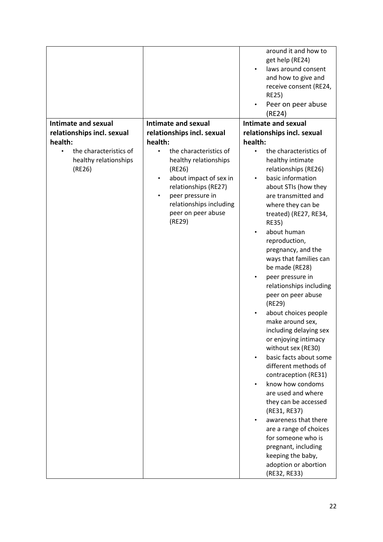|                                                                                   |                                                                                                                                                                                                                                              | around it and how to<br>get help (RE24)<br>laws around consent<br>and how to give and<br>receive consent (RE24,<br><b>RE25)</b><br>Peer on peer abuse<br>(RE24)                                                                                                                                                                                                                                                                                                                                                                                                                                                                                                                                                                                                                                                                                           |
|-----------------------------------------------------------------------------------|----------------------------------------------------------------------------------------------------------------------------------------------------------------------------------------------------------------------------------------------|-----------------------------------------------------------------------------------------------------------------------------------------------------------------------------------------------------------------------------------------------------------------------------------------------------------------------------------------------------------------------------------------------------------------------------------------------------------------------------------------------------------------------------------------------------------------------------------------------------------------------------------------------------------------------------------------------------------------------------------------------------------------------------------------------------------------------------------------------------------|
| Intimate and sexual                                                               | Intimate and sexual                                                                                                                                                                                                                          | <b>Intimate and sexual</b>                                                                                                                                                                                                                                                                                                                                                                                                                                                                                                                                                                                                                                                                                                                                                                                                                                |
| relationships incl. sexual                                                        | relationships incl. sexual                                                                                                                                                                                                                   | relationships incl. sexual                                                                                                                                                                                                                                                                                                                                                                                                                                                                                                                                                                                                                                                                                                                                                                                                                                |
| health:<br>the characteristics of<br>$\bullet$<br>healthy relationships<br>(RE26) | health:<br>the characteristics of<br>$\bullet$<br>healthy relationships<br>(RE26)<br>about impact of sex in<br>$\bullet$<br>relationships (RE27)<br>peer pressure in<br>$\bullet$<br>relationships including<br>peer on peer abuse<br>(RE29) | health:<br>the characteristics of<br>healthy intimate<br>relationships (RE26)<br>basic information<br>$\bullet$<br>about STIs (how they<br>are transmitted and<br>where they can be<br>treated) (RE27, RE34,<br><b>RE35)</b><br>about human<br>reproduction,<br>pregnancy, and the<br>ways that families can<br>be made (RE28)<br>peer pressure in<br>relationships including<br>peer on peer abuse<br>(RE29)<br>about choices people<br>make around sex,<br>including delaying sex<br>or enjoying intimacy<br>without sex (RE30)<br>basic facts about some<br>different methods of<br>contraception (RE31)<br>know how condoms<br>are used and where<br>they can be accessed<br>(RE31, RE37)<br>awareness that there<br>are a range of choices<br>for someone who is<br>pregnant, including<br>keeping the baby,<br>adoption or abortion<br>(RE32, RE33) |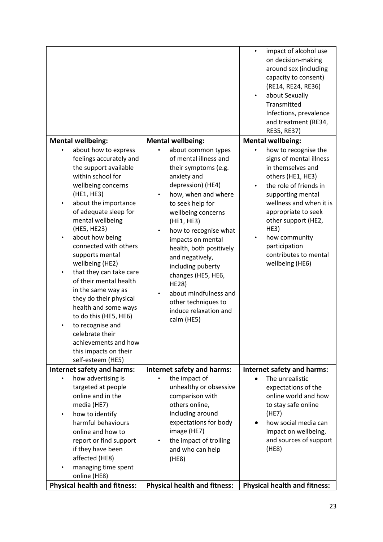|                                                                                                                                                                                                                                                                                                                                                                                                                                                                                                                                                                            |                                                                                                                                                                                                                                                                                                                                                                                                                                      | impact of alcohol use<br>$\bullet$<br>on decision-making<br>around sex (including<br>capacity to consent)<br>(RE14, RE24, RE36)<br>about Sexually<br>Transmitted<br>Infections, prevalence<br>and treatment (RE34,<br>RE35, RE37)                                                                                    |
|----------------------------------------------------------------------------------------------------------------------------------------------------------------------------------------------------------------------------------------------------------------------------------------------------------------------------------------------------------------------------------------------------------------------------------------------------------------------------------------------------------------------------------------------------------------------------|--------------------------------------------------------------------------------------------------------------------------------------------------------------------------------------------------------------------------------------------------------------------------------------------------------------------------------------------------------------------------------------------------------------------------------------|----------------------------------------------------------------------------------------------------------------------------------------------------------------------------------------------------------------------------------------------------------------------------------------------------------------------|
| <b>Mental wellbeing:</b>                                                                                                                                                                                                                                                                                                                                                                                                                                                                                                                                                   | <b>Mental wellbeing:</b>                                                                                                                                                                                                                                                                                                                                                                                                             | <b>Mental wellbeing:</b>                                                                                                                                                                                                                                                                                             |
| about how to express<br>feelings accurately and<br>the support available<br>within school for<br>wellbeing concerns<br>(HE1, HE3)<br>about the importance<br>of adequate sleep for<br>mental wellbeing<br>(HE5, HE23)<br>about how being<br>connected with others<br>supports mental<br>wellbeing (HE2)<br>that they can take care<br>of their mental health<br>in the same way as<br>they do their physical<br>health and some ways<br>to do this (HE5, HE6)<br>to recognise and<br>celebrate their<br>achievements and how<br>this impacts on their<br>self-esteem (HE5) | about common types<br>of mental illness and<br>their symptoms (e.g.<br>anxiety and<br>depression) (HE4)<br>how, when and where<br>to seek help for<br>wellbeing concerns<br>(HE1, HE3)<br>how to recognise what<br>impacts on mental<br>health, both positively<br>and negatively,<br>including puberty<br>changes (HE5, HE6,<br><b>HE28)</b><br>about mindfulness and<br>other techniques to<br>induce relaxation and<br>calm (HE5) | how to recognise the<br>signs of mental illness<br>in themselves and<br>others (HE1, HE3)<br>the role of friends in<br>$\bullet$<br>supporting mental<br>wellness and when it is<br>appropriate to seek<br>other support (HE2,<br>HE3)<br>how community<br>participation<br>contributes to mental<br>wellbeing (HE6) |
| Internet safety and harms:                                                                                                                                                                                                                                                                                                                                                                                                                                                                                                                                                 | Internet safety and harms:                                                                                                                                                                                                                                                                                                                                                                                                           | Internet safety and harms:                                                                                                                                                                                                                                                                                           |
| how advertising is<br>targeted at people<br>online and in the<br>media (HE7)<br>how to identify<br>$\bullet$<br>harmful behaviours<br>online and how to<br>report or find support<br>if they have been<br>affected (HE8)<br>managing time spent<br>online (HE8)                                                                                                                                                                                                                                                                                                            | the impact of<br>unhealthy or obsessive<br>comparison with<br>others online,<br>including around<br>expectations for body<br>image (HE7)<br>the impact of trolling<br>$\bullet$<br>and who can help<br>(HE8)                                                                                                                                                                                                                         | The unrealistic<br>expectations of the<br>online world and how<br>to stay safe online<br>(HE7)<br>how social media can<br>impact on wellbeing,<br>and sources of support<br>(HE8)                                                                                                                                    |
| <b>Physical health and fitness:</b>                                                                                                                                                                                                                                                                                                                                                                                                                                                                                                                                        | <b>Physical health and fitness:</b>                                                                                                                                                                                                                                                                                                                                                                                                  | <b>Physical health and fitness:</b>                                                                                                                                                                                                                                                                                  |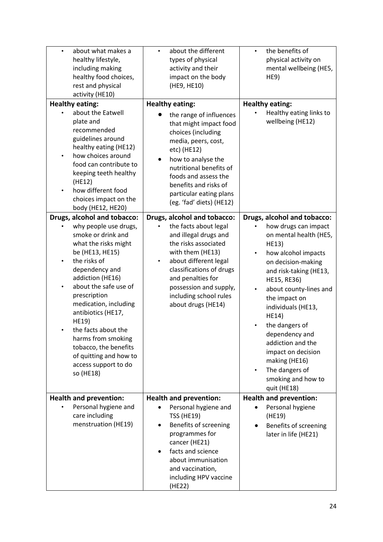| about what makes a<br>$\bullet$<br>healthy lifestyle,<br>including making<br>healthy food choices,<br>rest and physical<br>activity (HE10)                                                                                                                                                                                                                                                      | about the different<br>$\bullet$<br>types of physical<br>activity and their<br>impact on the body<br>(HE9, HE10)                                                                                                                                                                                                                             | the benefits of<br>$\bullet$<br>physical activity on<br>mental wellbeing (HE5,<br>HE9)                                                                                                                                                                                                                                                                                                                                       |
|-------------------------------------------------------------------------------------------------------------------------------------------------------------------------------------------------------------------------------------------------------------------------------------------------------------------------------------------------------------------------------------------------|----------------------------------------------------------------------------------------------------------------------------------------------------------------------------------------------------------------------------------------------------------------------------------------------------------------------------------------------|------------------------------------------------------------------------------------------------------------------------------------------------------------------------------------------------------------------------------------------------------------------------------------------------------------------------------------------------------------------------------------------------------------------------------|
| <b>Healthy eating:</b><br>about the Eatwell<br>plate and<br>recommended<br>guidelines around<br>healthy eating (HE12)<br>how choices around<br>food can contribute to<br>keeping teeth healthy<br>(HE12)<br>how different food<br>choices impact on the<br>body (HE12, HE20)<br>Drugs, alcohol and tobacco:                                                                                     | <b>Healthy eating:</b><br>the range of influences<br>that might impact food<br>choices (including<br>media, peers, cost,<br>etc) (HE12)<br>how to analyse the<br>$\bullet$<br>nutritional benefits of<br>foods and assess the<br>benefits and risks of<br>particular eating plans<br>(eg. 'fad' diets) (HE12)<br>Drugs, alcohol and tobacco: | <b>Healthy eating:</b><br>Healthy eating links to<br>wellbeing (HE12)<br>Drugs, alcohol and tobacco:                                                                                                                                                                                                                                                                                                                         |
| why people use drugs,<br>smoke or drink and<br>what the risks might<br>be (HE13, HE15)<br>the risks of<br>dependency and<br>addiction (HE16)<br>about the safe use of<br>$\bullet$<br>prescription<br>medication, including<br>antibiotics (HE17,<br>HE19)<br>the facts about the<br>harms from smoking<br>tobacco, the benefits<br>of quitting and how to<br>access support to do<br>so (HE18) | the facts about legal<br>and illegal drugs and<br>the risks associated<br>with them (HE13)<br>about different legal<br>٠<br>classifications of drugs<br>and penalties for<br>possession and supply,<br>including school rules<br>about drugs (HE14)                                                                                          | how drugs can impact<br>on mental health (HE5,<br><b>HE13)</b><br>how alcohol impacts<br>$\bullet$<br>on decision-making<br>and risk-taking (HE13,<br>HE15, RE36)<br>about county-lines and<br>$\bullet$<br>the impact on<br>individuals (HE13,<br>HE14)<br>the dangers of<br>dependency and<br>addiction and the<br>impact on decision<br>making (HE16)<br>The dangers of<br>$\bullet$<br>smoking and how to<br>quit (HE18) |
| <b>Health and prevention:</b><br>Personal hygiene and<br>care including<br>menstruation (HE19)                                                                                                                                                                                                                                                                                                  | <b>Health and prevention:</b><br>Personal hygiene and<br><b>TSS (HE19)</b><br>Benefits of screening<br>programmes for<br>cancer (HE21)<br>facts and science<br>about immunisation<br>and vaccination,<br>including HPV vaccine<br>(HE22)                                                                                                     | <b>Health and prevention:</b><br>Personal hygiene<br>(HE19)<br>Benefits of screening<br>later in life (HE21)                                                                                                                                                                                                                                                                                                                 |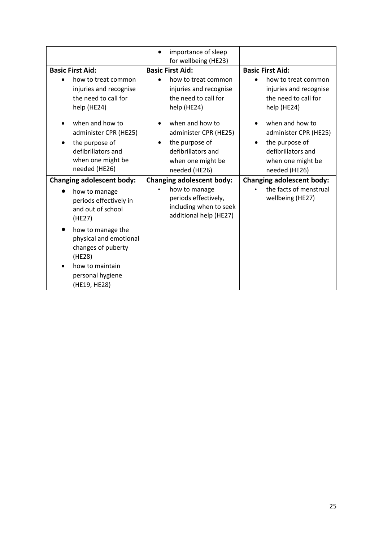|                                                                                                                                                                                                                                                    | importance of sleep<br>for wellbeing (HE23)                                                                                                                                                                              |                                                                                                                                                                                                                                       |
|----------------------------------------------------------------------------------------------------------------------------------------------------------------------------------------------------------------------------------------------------|--------------------------------------------------------------------------------------------------------------------------------------------------------------------------------------------------------------------------|---------------------------------------------------------------------------------------------------------------------------------------------------------------------------------------------------------------------------------------|
| <b>Basic First Aid:</b><br>how to treat common<br>$\bullet$<br>injuries and recognise<br>the need to call for<br>help (HE24)<br>when and how to<br>administer CPR (HE25)<br>the purpose of<br>$\bullet$<br>defibrillators and<br>when one might be | <b>Basic First Aid:</b><br>how to treat common<br>injuries and recognise<br>the need to call for<br>help (HE24)<br>when and how to<br>administer CPR (HE25)<br>the purpose of<br>defibrillators and<br>when one might be | <b>Basic First Aid:</b><br>how to treat common<br>injuries and recognise<br>the need to call for<br>help (HE24)<br>when and how to<br>administer CPR (HE25)<br>the purpose of<br>$\bullet$<br>defibrillators and<br>when one might be |
| needed (HE26)                                                                                                                                                                                                                                      | needed (HE26)                                                                                                                                                                                                            | needed (HE26)                                                                                                                                                                                                                         |
| <b>Changing adolescent body:</b><br>how to manage<br>periods effectively in<br>and out of school<br>(HE27)                                                                                                                                         | <b>Changing adolescent body:</b><br>how to manage<br>periods effectively,<br>including when to seek<br>additional help (HE27)                                                                                            | <b>Changing adolescent body:</b><br>the facts of menstrual<br>wellbeing (HE27)                                                                                                                                                        |
| how to manage the<br>physical and emotional<br>changes of puberty<br>(HE28)<br>how to maintain<br>personal hygiene<br>(HE19, HE28)                                                                                                                 |                                                                                                                                                                                                                          |                                                                                                                                                                                                                                       |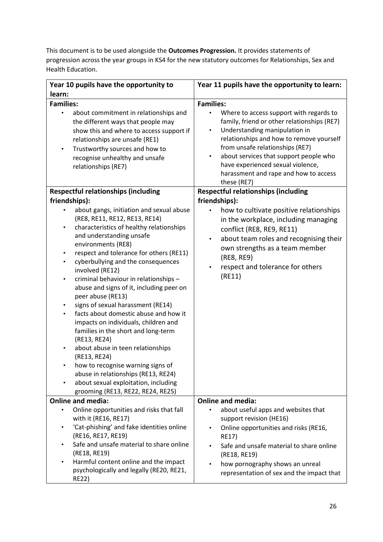This document is to be used alongside the **Outcomes Progression.** It provides statements of progression across the year groups in KS4 for the new statutory outcomes for Relationships, Sex and Health Education.

| Year 10 pupils have the opportunity to                                                                                                                                                                                                                                                                                                                                                                                                                                                                                                                                                                                                                                                                                                                                                                                                                     | Year 11 pupils have the opportunity to learn:                                                                                                                                                                                                                                                                                                                                               |
|------------------------------------------------------------------------------------------------------------------------------------------------------------------------------------------------------------------------------------------------------------------------------------------------------------------------------------------------------------------------------------------------------------------------------------------------------------------------------------------------------------------------------------------------------------------------------------------------------------------------------------------------------------------------------------------------------------------------------------------------------------------------------------------------------------------------------------------------------------|---------------------------------------------------------------------------------------------------------------------------------------------------------------------------------------------------------------------------------------------------------------------------------------------------------------------------------------------------------------------------------------------|
| learn:                                                                                                                                                                                                                                                                                                                                                                                                                                                                                                                                                                                                                                                                                                                                                                                                                                                     |                                                                                                                                                                                                                                                                                                                                                                                             |
| <b>Families:</b><br>about commitment in relationships and<br>$\bullet$<br>the different ways that people may<br>show this and where to access support if<br>relationships are unsafe (RE1)<br>Trustworthy sources and how to<br>$\bullet$<br>recognise unhealthy and unsafe<br>relationships (RE7)                                                                                                                                                                                                                                                                                                                                                                                                                                                                                                                                                         | <b>Families:</b><br>Where to access support with regards to<br>family, friend or other relationships (RE7)<br>Understanding manipulation in<br>$\bullet$<br>relationships and how to remove yourself<br>from unsafe relationships (RE7)<br>about services that support people who<br>$\bullet$<br>have experienced sexual violence,<br>harassment and rape and how to access<br>these (RE7) |
| <b>Respectful relationships (including</b>                                                                                                                                                                                                                                                                                                                                                                                                                                                                                                                                                                                                                                                                                                                                                                                                                 | <b>Respectful relationships (including</b>                                                                                                                                                                                                                                                                                                                                                  |
| friendships):<br>about gangs, initiation and sexual abuse<br>(RE8, RE11, RE12, RE13, RE14)<br>characteristics of healthy relationships<br>$\bullet$<br>and understanding unsafe<br>environments (RE8)<br>respect and tolerance for others (RE11)<br>cyberbullying and the consequences<br>$\bullet$<br>involved (RE12)<br>criminal behaviour in relationships -<br>$\bullet$<br>abuse and signs of it, including peer on<br>peer abuse (RE13)<br>signs of sexual harassment (RE14)<br>٠<br>facts about domestic abuse and how it<br>$\bullet$<br>impacts on individuals, children and<br>families in the short and long-term<br>(RE13, RE24)<br>about abuse in teen relationships<br>(RE13, RE24)<br>how to recognise warning signs of<br>abuse in relationships (RE13, RE24)<br>about sexual exploitation, including<br>grooming (RE13, RE22, RE24, RE25) | friendships):<br>how to cultivate positive relationships<br>in the workplace, including managing<br>conflict (RE8, RE9, RE11)<br>about team roles and recognising their<br>$\bullet$<br>own strengths as a team member<br>(RE8, RE9)<br>respect and tolerance for others<br>$\bullet$<br>(RE11)                                                                                             |
| <b>Online and media:</b>                                                                                                                                                                                                                                                                                                                                                                                                                                                                                                                                                                                                                                                                                                                                                                                                                                   | <b>Online and media:</b>                                                                                                                                                                                                                                                                                                                                                                    |
| Online opportunities and risks that fall<br>with it (RE16, RE17)<br>'Cat-phishing' and fake identities online<br>(RE16, RE17, RE19)<br>Safe and unsafe material to share online<br>(RE18, RE19)<br>Harmful content online and the impact<br>psychologically and legally (RE20, RE21,<br><b>RE22)</b>                                                                                                                                                                                                                                                                                                                                                                                                                                                                                                                                                       | about useful apps and websites that<br>support revision (HE16)<br>Online opportunities and risks (RE16,<br>$\bullet$<br><b>RE17)</b><br>Safe and unsafe material to share online<br>(RE18, RE19)<br>how pornography shows an unreal<br>$\bullet$<br>representation of sex and the impact that                                                                                               |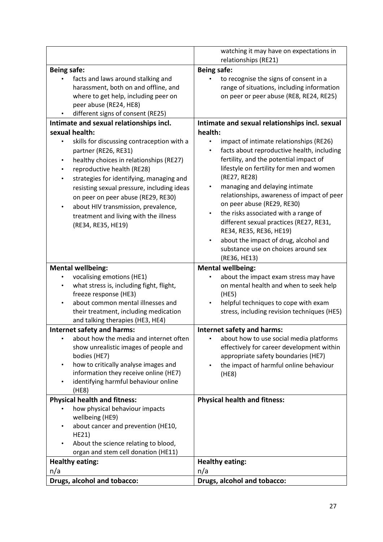|                                                                                                                                                                                                                                                                                                                                                                                                                                                 | watching it may have on expectations in                                                                                                                                                                                                                                                                                                                                                                                                                                                                                                                   |
|-------------------------------------------------------------------------------------------------------------------------------------------------------------------------------------------------------------------------------------------------------------------------------------------------------------------------------------------------------------------------------------------------------------------------------------------------|-----------------------------------------------------------------------------------------------------------------------------------------------------------------------------------------------------------------------------------------------------------------------------------------------------------------------------------------------------------------------------------------------------------------------------------------------------------------------------------------------------------------------------------------------------------|
|                                                                                                                                                                                                                                                                                                                                                                                                                                                 | relationships (RE21)                                                                                                                                                                                                                                                                                                                                                                                                                                                                                                                                      |
| <b>Being safe:</b><br>facts and laws around stalking and<br>harassment, both on and offline, and<br>where to get help, including peer on<br>peer abuse (RE24, HE8)<br>different signs of consent (RE25)                                                                                                                                                                                                                                         | <b>Being safe:</b><br>to recognise the signs of consent in a<br>range of situations, including information<br>on peer or peer abuse (RE8, RE24, RE25)                                                                                                                                                                                                                                                                                                                                                                                                     |
| Intimate and sexual relationships incl.                                                                                                                                                                                                                                                                                                                                                                                                         | Intimate and sexual relationships incl. sexual                                                                                                                                                                                                                                                                                                                                                                                                                                                                                                            |
| sexual health:<br>skills for discussing contraception with a<br>partner (RE26, RE31)<br>healthy choices in relationships (RE27)<br>$\bullet$<br>reproductive health (RE28)<br>٠<br>strategies for identifying, managing and<br>$\bullet$<br>resisting sexual pressure, including ideas<br>on peer on peer abuse (RE29, RE30)<br>about HIV transmission, prevalence,<br>$\bullet$<br>treatment and living with the illness<br>(RE34, RE35, HE19) | health:<br>impact of intimate relationships (RE26)<br>facts about reproductive health, including<br>fertility, and the potential impact of<br>lifestyle on fertility for men and women<br>(RE27, RE28)<br>managing and delaying intimate<br>٠<br>relationships, awareness of impact of peer<br>on peer abuse (RE29, RE30)<br>the risks associated with a range of<br>٠<br>different sexual practices (RE27, RE31,<br>RE34, RE35, RE36, HE19)<br>about the impact of drug, alcohol and<br>$\bullet$<br>substance use on choices around sex<br>(RE36, HE13) |
| <b>Mental wellbeing:</b>                                                                                                                                                                                                                                                                                                                                                                                                                        | <b>Mental wellbeing:</b>                                                                                                                                                                                                                                                                                                                                                                                                                                                                                                                                  |
| vocalising emotions (HE1)<br>what stress is, including fight, flight,                                                                                                                                                                                                                                                                                                                                                                           | about the impact exam stress may have<br>on mental health and when to seek help<br>(HE5)                                                                                                                                                                                                                                                                                                                                                                                                                                                                  |
| freeze response (HE3)<br>about common mental illnesses and<br>their treatment, including medication<br>and talking therapies (HE3, HE4)                                                                                                                                                                                                                                                                                                         | helpful techniques to cope with exam<br>stress, including revision techniques (HE5)                                                                                                                                                                                                                                                                                                                                                                                                                                                                       |
| Internet safety and harms:                                                                                                                                                                                                                                                                                                                                                                                                                      | <b>Internet safety and harms:</b>                                                                                                                                                                                                                                                                                                                                                                                                                                                                                                                         |
| about how the media and internet often<br>show unrealistic images of people and<br>bodies (HE7)<br>how to critically analyse images and<br>٠<br>information they receive online (HE7)<br>identifying harmful behaviour online<br>(HE8)                                                                                                                                                                                                          | about how to use social media platforms<br>effectively for career development within<br>appropriate safety boundaries (HE7)<br>the impact of harmful online behaviour<br>(HE8)                                                                                                                                                                                                                                                                                                                                                                            |
| <b>Physical health and fitness:</b>                                                                                                                                                                                                                                                                                                                                                                                                             | <b>Physical health and fitness:</b>                                                                                                                                                                                                                                                                                                                                                                                                                                                                                                                       |
| how physical behaviour impacts<br>wellbeing (HE9)<br>about cancer and prevention (HE10,<br>$\bullet$<br>HE21)<br>About the science relating to blood,<br>organ and stem cell donation (HE11)                                                                                                                                                                                                                                                    |                                                                                                                                                                                                                                                                                                                                                                                                                                                                                                                                                           |
| <b>Healthy eating:</b>                                                                                                                                                                                                                                                                                                                                                                                                                          | <b>Healthy eating:</b>                                                                                                                                                                                                                                                                                                                                                                                                                                                                                                                                    |
| n/a                                                                                                                                                                                                                                                                                                                                                                                                                                             | n/a                                                                                                                                                                                                                                                                                                                                                                                                                                                                                                                                                       |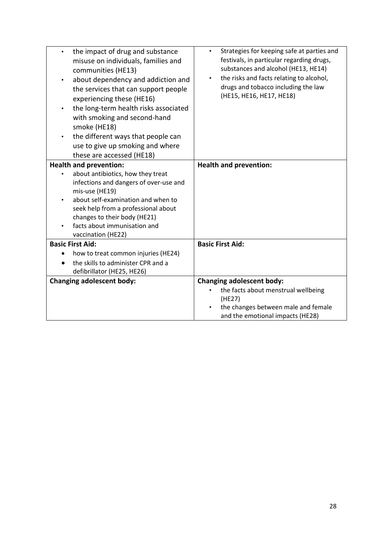| the impact of drug and substance<br>$\bullet$<br>misuse on individuals, families and<br>communities (HE13)<br>about dependency and addiction and<br>$\bullet$<br>the services that can support people<br>experiencing these (HE16)<br>the long-term health risks associated<br>$\bullet$<br>with smoking and second-hand<br>smoke (HE18)<br>the different ways that people can<br>$\bullet$<br>use to give up smoking and where<br>these are accessed (HE18) | Strategies for keeping safe at parties and<br>$\bullet$<br>festivals, in particular regarding drugs,<br>substances and alcohol (HE13, HE14)<br>the risks and facts relating to alcohol,<br>$\bullet$<br>drugs and tobacco including the law<br>(HE15, HE16, HE17, HE18) |
|--------------------------------------------------------------------------------------------------------------------------------------------------------------------------------------------------------------------------------------------------------------------------------------------------------------------------------------------------------------------------------------------------------------------------------------------------------------|-------------------------------------------------------------------------------------------------------------------------------------------------------------------------------------------------------------------------------------------------------------------------|
| <b>Health and prevention:</b>                                                                                                                                                                                                                                                                                                                                                                                                                                | <b>Health and prevention:</b>                                                                                                                                                                                                                                           |
| about antibiotics, how they treat<br>infections and dangers of over-use and<br>mis-use (HE19)<br>about self-examination and when to<br>seek help from a professional about<br>changes to their body (HE21)<br>facts about immunisation and<br>vaccination (HE22)                                                                                                                                                                                             |                                                                                                                                                                                                                                                                         |
| <b>Basic First Aid:</b>                                                                                                                                                                                                                                                                                                                                                                                                                                      | <b>Basic First Aid:</b>                                                                                                                                                                                                                                                 |
| how to treat common injuries (HE24)<br>the skills to administer CPR and a                                                                                                                                                                                                                                                                                                                                                                                    |                                                                                                                                                                                                                                                                         |
| defibrillator (HE25, HE26)                                                                                                                                                                                                                                                                                                                                                                                                                                   |                                                                                                                                                                                                                                                                         |
| <b>Changing adolescent body:</b>                                                                                                                                                                                                                                                                                                                                                                                                                             | <b>Changing adolescent body:</b><br>the facts about menstrual wellbeing<br>٠<br>(HE27)<br>the changes between male and female<br>and the emotional impacts (HE28)                                                                                                       |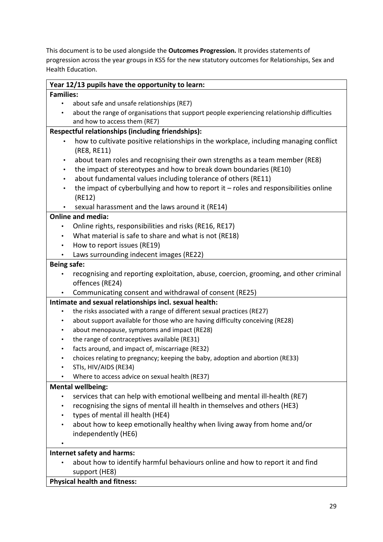This document is to be used alongside the **Outcomes Progression.** It provides statements of progression across the year groups in KS5 for the new statutory outcomes for Relationships, Sex and Health Education.

| Year 12/13 pupils have the opportunity to learn:                                                    |  |  |
|-----------------------------------------------------------------------------------------------------|--|--|
| <b>Families:</b>                                                                                    |  |  |
| about safe and unsafe relationships (RE7)                                                           |  |  |
| about the range of organisations that support people experiencing relationship difficulties         |  |  |
| and how to access them (RE7)                                                                        |  |  |
| Respectful relationships (including friendships):                                                   |  |  |
| how to cultivate positive relationships in the workplace, including managing conflict               |  |  |
| (RE8, RE11)                                                                                         |  |  |
| about team roles and recognising their own strengths as a team member (RE8)<br>٠                    |  |  |
| the impact of stereotypes and how to break down boundaries (RE10)<br>$\bullet$                      |  |  |
| about fundamental values including tolerance of others (RE11)<br>$\bullet$                          |  |  |
| the impact of cyberbullying and how to report it $-$ roles and responsibilities online<br>$\bullet$ |  |  |
| (RE12)                                                                                              |  |  |
| sexual harassment and the laws around it (RE14)                                                     |  |  |
| <b>Online and media:</b>                                                                            |  |  |
| Online rights, responsibilities and risks (RE16, RE17)                                              |  |  |
| What material is safe to share and what is not (RE18)<br>$\bullet$                                  |  |  |
| How to report issues (RE19)<br>$\bullet$                                                            |  |  |
| Laws surrounding indecent images (RE22)<br>$\bullet$                                                |  |  |
| <b>Being safe:</b>                                                                                  |  |  |
| recognising and reporting exploitation, abuse, coercion, grooming, and other criminal               |  |  |
| offences (RE24)                                                                                     |  |  |
| Communicating consent and withdrawal of consent (RE25)                                              |  |  |
| Intimate and sexual relationships incl. sexual health:                                              |  |  |
| the risks associated with a range of different sexual practices (RE27)                              |  |  |
| about support available for those who are having difficulty conceiving (RE28)<br>$\bullet$          |  |  |
| about menopause, symptoms and impact (RE28)<br>$\bullet$                                            |  |  |
| the range of contraceptives available (RE31)<br>$\bullet$                                           |  |  |
| facts around, and impact of, miscarriage (RE32)<br>$\bullet$                                        |  |  |
| choices relating to pregnancy; keeping the baby, adoption and abortion (RE33)<br>$\bullet$          |  |  |
| STIs, HIV/AIDS (RE34)                                                                               |  |  |
| Where to access advice on sexual health (RE37)                                                      |  |  |
| <b>Mental wellbeing:</b>                                                                            |  |  |
| services that can help with emotional wellbeing and mental ill-health (RE7)<br>٠                    |  |  |
| recognising the signs of mental ill health in themselves and others (HE3)                           |  |  |
| types of mental ill health (HE4)                                                                    |  |  |
| about how to keep emotionally healthy when living away from home and/or                             |  |  |
| independently (HE6)                                                                                 |  |  |
|                                                                                                     |  |  |
| Internet safety and harms:                                                                          |  |  |
| about how to identify harmful behaviours online and how to report it and find                       |  |  |
| support (HE8)                                                                                       |  |  |

**Physical health and fitness:**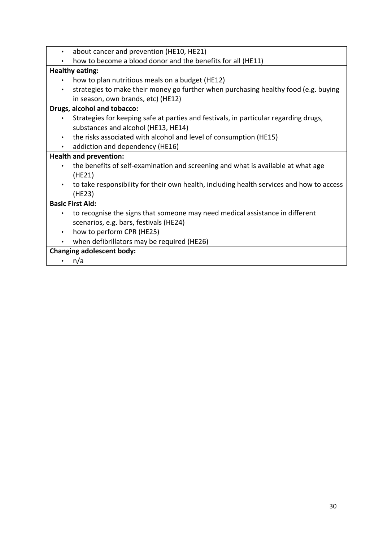| $\bullet$ | about cancer and prevention (HE10, HE21)                                                 |
|-----------|------------------------------------------------------------------------------------------|
|           | how to become a blood donor and the benefits for all (HE11)                              |
|           | <b>Healthy eating:</b>                                                                   |
|           | how to plan nutritious meals on a budget (HE12)                                          |
| $\bullet$ | strategies to make their money go further when purchasing healthy food (e.g. buying      |
|           | in season, own brands, etc) (HE12)                                                       |
|           | Drugs, alcohol and tobacco:                                                              |
| $\bullet$ | Strategies for keeping safe at parties and festivals, in particular regarding drugs,     |
|           | substances and alcohol (HE13, HE14)                                                      |
| $\bullet$ | the risks associated with alcohol and level of consumption (HE15)                        |
| $\bullet$ | addiction and dependency (HE16)                                                          |
|           | <b>Health and prevention:</b>                                                            |
| $\bullet$ | the benefits of self-examination and screening and what is available at what age         |
|           | (HE21)                                                                                   |
| $\bullet$ | to take responsibility for their own health, including health services and how to access |
|           | (HE23)                                                                                   |
|           | <b>Basic First Aid:</b>                                                                  |
| $\bullet$ | to recognise the signs that someone may need medical assistance in different             |
|           | scenarios, e.g. bars, festivals (HE24)                                                   |
| $\bullet$ | how to perform CPR (HE25)                                                                |
|           | when defibrillators may be required (HE26)                                               |
|           | <b>Changing adolescent body:</b>                                                         |
|           | n/a                                                                                      |

 $\cdot$  n/a